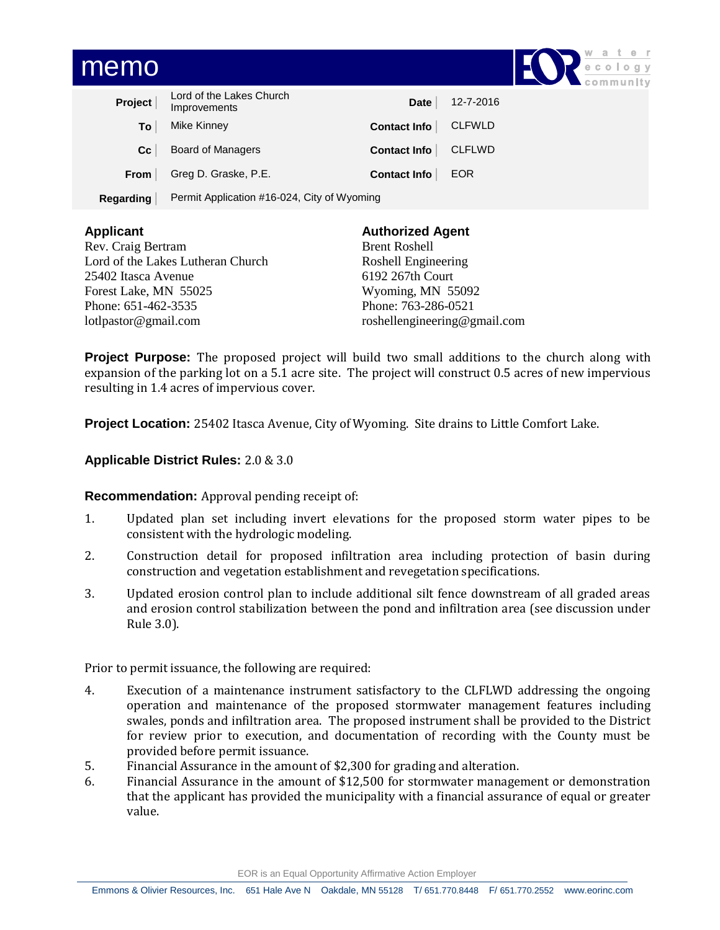| memo        |                                             |                     |               | Water<br>ecology<br>community |
|-------------|---------------------------------------------|---------------------|---------------|-------------------------------|
| Project     | Lord of the Lakes Church<br>Improvements    | Date                | 12-7-2016     |                               |
| To          | Mike Kinney                                 | Contact Info        | <b>CLFWLD</b> |                               |
| cc          | Board of Managers                           | Contact Info        | <b>CLFLWD</b> |                               |
| <b>From</b> | Greg D. Graske, P.E.                        | <b>Contact Info</b> | <b>EOR</b>    |                               |
| Regarding   | Permit Application #16-024, City of Wyoming |                     |               |                               |

| <b>Applicant</b>                  | <b>Authorized Agent</b>      |  |  |
|-----------------------------------|------------------------------|--|--|
| Rev. Craig Bertram                | <b>Brent Roshell</b>         |  |  |
| Lord of the Lakes Lutheran Church | Roshell Engineering          |  |  |
| 25402 Itasca Avenue               | 6192 267th Court             |  |  |
| Forest Lake, MN 55025             | Wyoming, MN 55092            |  |  |
| Phone: 651-462-3535               | Phone: 763-286-0521          |  |  |
| lotlpastor@gmail.com              | roshellengineering@gmail.com |  |  |

**Project Purpose:** The proposed project will build two small additions to the church along with expansion of the parking lot on a 5.1 acre site. The project will construct 0.5 acres of new impervious resulting in 1.4 acres of impervious cover.

**Project Location:** 25402 Itasca Avenue, City of Wyoming. Site drains to Little Comfort Lake.

## **Applicable District Rules:** 2.0 & 3.0

### **Recommendation:** Approval pending receipt of:

- 1. Updated plan set including invert elevations for the proposed storm water pipes to be consistent with the hydrologic modeling.
- 2. Construction detail for proposed infiltration area including protection of basin during construction and vegetation establishment and revegetation specifications.
- 3. Updated erosion control plan to include additional silt fence downstream of all graded areas and erosion control stabilization between the pond and infiltration area (see discussion under Rule 3.0).

Prior to permit issuance, the following are required:

- 4. Execution of a maintenance instrument satisfactory to the CLFLWD addressing the ongoing operation and maintenance of the proposed stormwater management features including swales, ponds and infiltration area. The proposed instrument shall be provided to the District for review prior to execution, and documentation of recording with the County must be provided before permit issuance.
- 5. Financial Assurance in the amount of \$2,300 for grading and alteration.
- 6. Financial Assurance in the amount of \$12,500 for stormwater management or demonstration that the applicant has provided the municipality with a financial assurance of equal or greater value.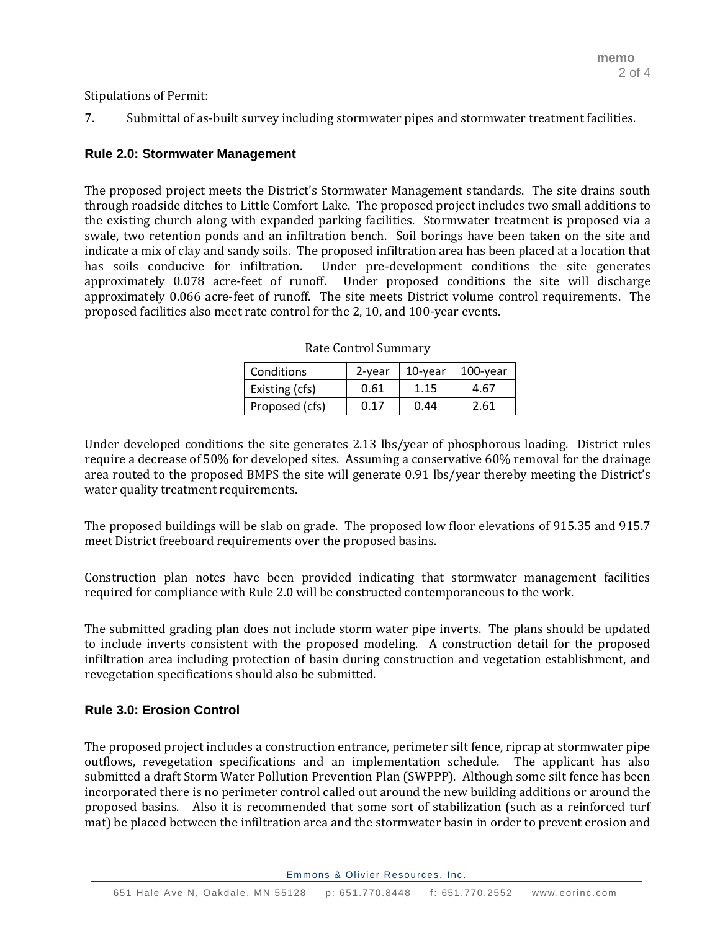Stipulations of Permit:

7. Submittal of as-built survey including stormwater pipes and stormwater treatment facilities.

# **Rule 2.0: Stormwater Management**

The proposed project meets the District's Stormwater Management standards. The site drains south through roadside ditches to Little Comfort Lake. The proposed project includes two small additions to the existing church along with expanded parking facilities. Stormwater treatment is proposed via a swale, two retention ponds and an infiltration bench. Soil borings have been taken on the site and indicate a mix of clay and sandy soils. The proposed infiltration area has been placed at a location that has soils conducive for infiltration. Under pre-development conditions the site generates approximately 0.078 acre-feet of runoff. Under proposed conditions the site will discharge approximately 0.066 acre-feet of runoff. The site meets District volume control requirements. The proposed facilities also meet rate control for the 2, 10, and 100-year events.

| Conditions     | 2-year | 10-year | 100-year |
|----------------|--------|---------|----------|
| Existing (cfs) | 0.61   | 1.15    | 4.67     |
| Proposed (cfs) | 0.17   | 0.44    | 2.61     |

Rate Control Summary

Under developed conditions the site generates 2.13 lbs/year of phosphorous loading. District rules require a decrease of 50% for developed sites. Assuming a conservative 60% removal for the drainage area routed to the proposed BMPS the site will generate 0.91 lbs/year thereby meeting the District's water quality treatment requirements.

The proposed buildings will be slab on grade. The proposed low floor elevations of 915.35 and 915.7 meet District freeboard requirements over the proposed basins.

Construction plan notes have been provided indicating that stormwater management facilities required for compliance with Rule 2.0 will be constructed contemporaneous to the work.

The submitted grading plan does not include storm water pipe inverts. The plans should be updated to include inverts consistent with the proposed modeling. A construction detail for the proposed infiltration area including protection of basin during construction and vegetation establishment, and revegetation specifications should also be submitted.

# **Rule 3.0: Erosion Control**

The proposed project includes a construction entrance, perimeter silt fence, riprap at stormwater pipe outflows, revegetation specifications and an implementation schedule. The applicant has also submitted a draft Storm Water Pollution Prevention Plan (SWPPP). Although some silt fence has been incorporated there is no perimeter control called out around the new building additions or around the proposed basins. Also it is recommended that some sort of stabilization (such as a reinforced turf mat) be placed between the infiltration area and the stormwater basin in order to prevent erosion and

Emmons & Olivier Resources, Inc.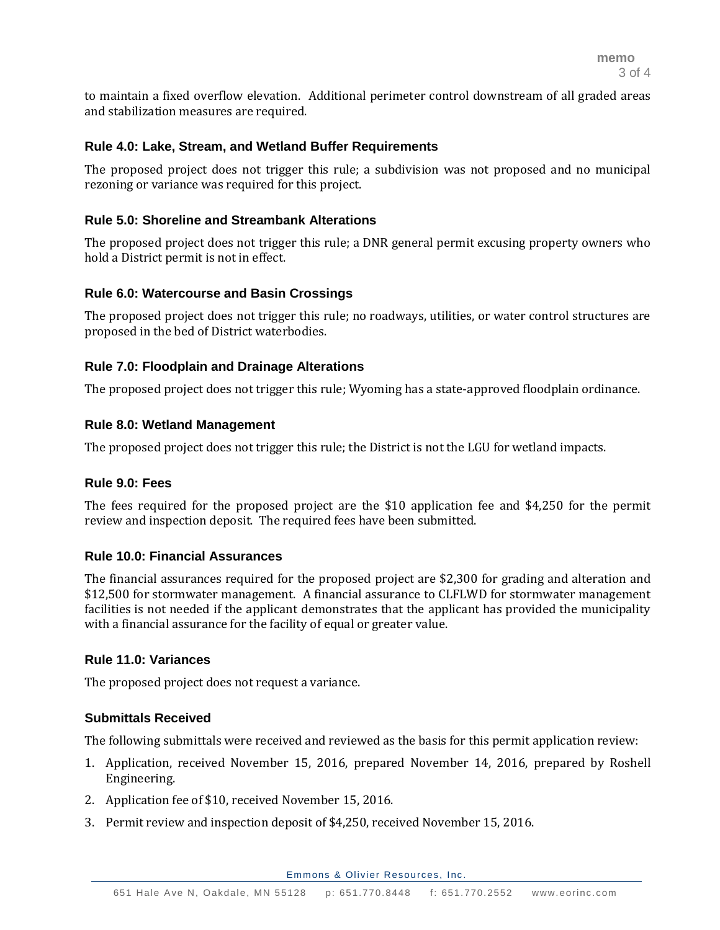to maintain a fixed overflow elevation. Additional perimeter control downstream of all graded areas and stabilization measures are required.

### **Rule 4.0: Lake, Stream, and Wetland Buffer Requirements**

The proposed project does not trigger this rule; a subdivision was not proposed and no municipal rezoning or variance was required for this project.

### **Rule 5.0: Shoreline and Streambank Alterations**

The proposed project does not trigger this rule; a DNR general permit excusing property owners who hold a District permit is not in effect.

### **Rule 6.0: Watercourse and Basin Crossings**

The proposed project does not trigger this rule; no roadways, utilities, or water control structures are proposed in the bed of District waterbodies.

### **Rule 7.0: Floodplain and Drainage Alterations**

The proposed project does not trigger this rule; Wyoming has a state-approved floodplain ordinance.

### **Rule 8.0: Wetland Management**

The proposed project does not trigger this rule; the District is not the LGU for wetland impacts.

### **Rule 9.0: Fees**

The fees required for the proposed project are the \$10 application fee and \$4,250 for the permit review and inspection deposit. The required fees have been submitted.

### **Rule 10.0: Financial Assurances**

The financial assurances required for the proposed project are \$2,300 for grading and alteration and \$12,500 for stormwater management. A financial assurance to CLFLWD for stormwater management facilities is not needed if the applicant demonstrates that the applicant has provided the municipality with a financial assurance for the facility of equal or greater value.

### **Rule 11.0: Variances**

The proposed project does not request a variance.

### **Submittals Received**

The following submittals were received and reviewed as the basis for this permit application review:

- 1. Application, received November 15, 2016, prepared November 14, 2016, prepared by Roshell Engineering.
- 2. Application fee of \$10, received November 15, 2016.
- 3. Permit review and inspection deposit of \$4,250, received November 15, 2016.

Emmons & Olivier Resources, Inc.